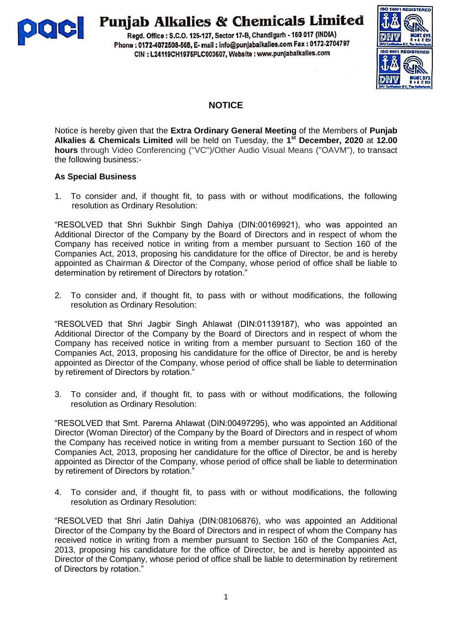

# **Punjab Alkalies & Chemicals Limited**

Regd. Office: S.C.O. 125-127, Sector 17-B, Chandigarh - 160 017 (INDIA) Phone: 0172-4072508-568, E- mail: info@punjabalkalies.com Fax: 0172-2704797 CIN : L24119CH1975PLC003607, Website : www.punjabalkalies.com



# **NOTICE**

Notice is hereby given that the **Extra Ordinary General Meeting** of the Members of **Punjab Alkalies & Chemicals Limited** will be held on Tuesday, the **1 st December, 2020** at **12.00 hours** through Video Conferencing (''VC'')/Other Audio Visual Means (''OAVM''), to transact the following business:-

# **As Special Business**

1. To consider and, if thought fit, to pass with or without modifications, the following resolution as Ordinary Resolution:

"RESOLVED that Shri Sukhbir Singh Dahiya (DIN:00169921), who was appointed an Additional Director of the Company by the Board of Directors and in respect of whom the Company has received notice in writing from a member pursuant to Section 160 of the Companies Act, 2013, proposing his candidature for the office of Director, be and is hereby appointed as Chairman & Director of the Company, whose period of office shall be liable to determination by retirement of Directors by rotation."

2. To consider and, if thought fit, to pass with or without modifications, the following resolution as Ordinary Resolution:

"RESOLVED that Shri Jagbir Singh Ahlawat (DIN:01139187), who was appointed an Additional Director of the Company by the Board of Directors and in respect of whom the Company has received notice in writing from a member pursuant to Section 160 of the Companies Act, 2013, proposing his candidature for the office of Director, be and is hereby appointed as Director of the Company, whose period of office shall be liable to determination by retirement of Directors by rotation."

3. To consider and, if thought fit, to pass with or without modifications, the following resolution as Ordinary Resolution:

"RESOLVED that Smt. Parerna Ahlawat (DIN:00497295), who was appointed an Additional Director (Woman Director) of the Company by the Board of Directors and in respect of whom the Company has received notice in writing from a member pursuant to Section 160 of the Companies Act, 2013, proposing her candidature for the office of Director, be and is hereby appointed as Director of the Company, whose period of office shall be liable to determination by retirement of Directors by rotation."

4. To consider and, if thought fit, to pass with or without modifications, the following resolution as Ordinary Resolution:

"RESOLVED that Shri Jatin Dahiya (DIN:08106876), who was appointed an Additional Director of the Company by the Board of Directors and in respect of whom the Company has received notice in writing from a member pursuant to Section 160 of the Companies Act, 2013, proposing his candidature for the office of Director, be and is hereby appointed as Director of the Company, whose period of office shall be liable to determination by retirement of Directors by rotation."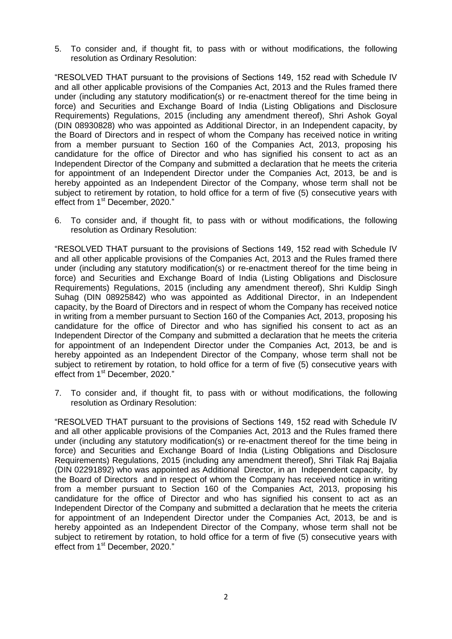5. To consider and, if thought fit, to pass with or without modifications, the following resolution as Ordinary Resolution:

"RESOLVED THAT pursuant to the provisions of Sections 149, 152 read with Schedule IV and all other applicable provisions of the Companies Act, 2013 and the Rules framed there under (including any statutory modification(s) or re-enactment thereof for the time being in force) and Securities and Exchange Board of India (Listing Obligations and Disclosure Requirements) Regulations, 2015 (including any amendment thereof), Shri Ashok Goyal (DIN 08930828) who was appointed as Additional Director, in an Independent capacity, by the Board of Directors and in respect of whom the Company has received notice in writing from a member pursuant to Section 160 of the Companies Act, 2013, proposing his candidature for the office of Director and who has signified his consent to act as an Independent Director of the Company and submitted a declaration that he meets the criteria for appointment of an Independent Director under the Companies Act, 2013, be and is hereby appointed as an Independent Director of the Company, whose term shall not be subject to retirement by rotation, to hold office for a term of five (5) consecutive years with effect from 1<sup>st</sup> December, 2020."

6. To consider and, if thought fit, to pass with or without modifications, the following resolution as Ordinary Resolution:

"RESOLVED THAT pursuant to the provisions of Sections 149, 152 read with Schedule IV and all other applicable provisions of the Companies Act, 2013 and the Rules framed there under (including any statutory modification(s) or re-enactment thereof for the time being in force) and Securities and Exchange Board of India (Listing Obligations and Disclosure Requirements) Regulations, 2015 (including any amendment thereof), Shri Kuldip Singh Suhag (DIN 08925842) who was appointed as Additional Director, in an Independent capacity, by the Board of Directors and in respect of whom the Company has received notice in writing from a member pursuant to Section 160 of the Companies Act, 2013, proposing his candidature for the office of Director and who has signified his consent to act as an Independent Director of the Company and submitted a declaration that he meets the criteria for appointment of an Independent Director under the Companies Act, 2013, be and is hereby appointed as an Independent Director of the Company, whose term shall not be subject to retirement by rotation, to hold office for a term of five (5) consecutive years with effect from 1<sup>st</sup> December, 2020."

7. To consider and, if thought fit, to pass with or without modifications, the following resolution as Ordinary Resolution:

"RESOLVED THAT pursuant to the provisions of Sections 149, 152 read with Schedule IV and all other applicable provisions of the Companies Act, 2013 and the Rules framed there under (including any statutory modification(s) or re-enactment thereof for the time being in force) and Securities and Exchange Board of India (Listing Obligations and Disclosure Requirements) Regulations, 2015 (including any amendment thereof), Shri Tilak Raj Bajalia (DIN 02291892) who was appointed as Additional Director, in an Independent capacity, by the Board of Directors and in respect of whom the Company has received notice in writing from a member pursuant to Section 160 of the Companies Act, 2013, proposing his candidature for the office of Director and who has signified his consent to act as an Independent Director of the Company and submitted a declaration that he meets the criteria for appointment of an Independent Director under the Companies Act, 2013, be and is hereby appointed as an Independent Director of the Company, whose term shall not be subject to retirement by rotation, to hold office for a term of five (5) consecutive years with effect from 1<sup>st</sup> December, 2020."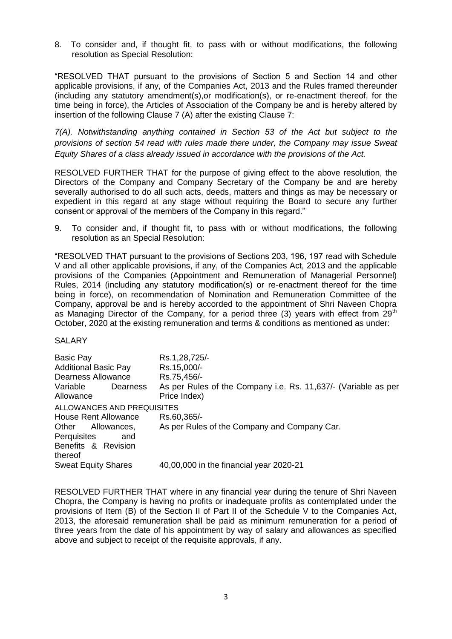8. To consider and, if thought fit, to pass with or without modifications, the following resolution as Special Resolution:

"RESOLVED THAT pursuant to the provisions of Section 5 and Section 14 and other applicable provisions, if any, of the Companies Act, 2013 and the Rules framed thereunder (including any statutory amendment(s),or modification(s), or re-enactment thereof, for the time being in force), the Articles of Association of the Company be and is hereby altered by insertion of the following Clause 7 (A) after the existing Clause 7:

*7(A). Notwithstanding anything contained in Section 53 of the Act but subject to the provisions of section 54 read with rules made there under, the Company may issue Sweat Equity Shares of a class already issued in accordance with the provisions of the Act.*

RESOLVED FURTHER THAT for the purpose of giving effect to the above resolution, the Directors of the Company and Company Secretary of the Company be and are hereby severally authorised to do all such acts, deeds, matters and things as may be necessary or expedient in this regard at any stage without requiring the Board to secure any further consent or approval of the members of the Company in this regard."

9. To consider and, if thought fit, to pass with or without modifications, the following resolution as an Special Resolution:

"RESOLVED THAT pursuant to the provisions of Sections 203, 196, 197 read with Schedule V and all other applicable provisions, if any, of the Companies Act, 2013 and the applicable provisions of the Companies (Appointment and Remuneration of Managerial Personnel) Rules, 2014 (including any statutory modification(s) or re-enactment thereof for the time being in force), on recommendation of Nomination and Remuneration Committee of the Company, approval be and is hereby accorded to the appointment of Shri Naveen Chopra as Managing Director of the Company, for a period three (3) years with effect from  $29<sup>th</sup>$ October, 2020 at the existing remuneration and terms & conditions as mentioned as under:

#### **SALARY**

| <b>Basic Pay</b><br><b>Additional Basic Pay</b><br><b>Dearness Allowance</b> | Rs.1,28,725/-<br>Rs.15,000/-<br>Rs.75,456/-                                    |
|------------------------------------------------------------------------------|--------------------------------------------------------------------------------|
| Variable<br>Dearness<br>Allowance                                            | As per Rules of the Company i.e. Rs. 11,637/- (Variable as per<br>Price Index) |
| ALLOWANCES AND PREQUISITES                                                   |                                                                                |
| House Rent Allowance                                                         | Rs.60,365/-                                                                    |
| Other<br>Allowances,                                                         | As per Rules of the Company and Company Car.                                   |
| Perquisites<br>and                                                           |                                                                                |
| Benefits & Revision                                                          |                                                                                |
| thereof                                                                      |                                                                                |
| <b>Sweat Equity Shares</b>                                                   | 40,00,000 in the financial year 2020-21                                        |

RESOLVED FURTHER THAT where in any financial year during the tenure of Shri Naveen Chopra, the Company is having no profits or inadequate profits as contemplated under the provisions of Item (B) of the Section II of Part II of the Schedule V to the Companies Act, 2013, the aforesaid remuneration shall be paid as minimum remuneration for a period of three years from the date of his appointment by way of salary and allowances as specified above and subject to receipt of the requisite approvals, if any.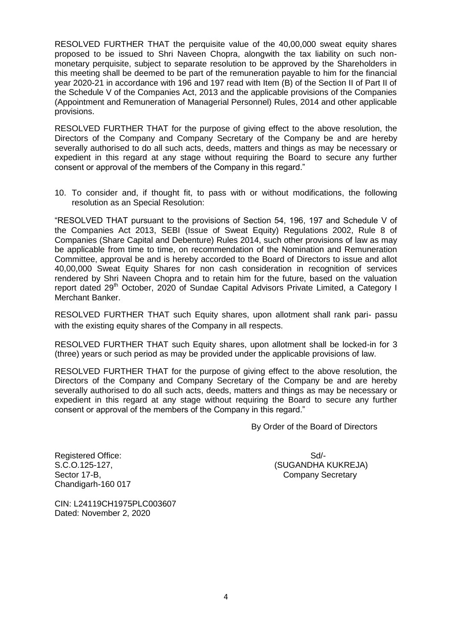RESOLVED FURTHER THAT the perquisite value of the 40,00,000 sweat equity shares proposed to be issued to Shri Naveen Chopra, alongwith the tax liability on such nonmonetary perquisite, subject to separate resolution to be approved by the Shareholders in this meeting shall be deemed to be part of the remuneration payable to him for the financial year 2020-21 in accordance with 196 and 197 read with Item (B) of the Section II of Part II of the Schedule V of the Companies Act, 2013 and the applicable provisions of the Companies (Appointment and Remuneration of Managerial Personnel) Rules, 2014 and other applicable provisions.

RESOLVED FURTHER THAT for the purpose of giving effect to the above resolution, the Directors of the Company and Company Secretary of the Company be and are hereby severally authorised to do all such acts, deeds, matters and things as may be necessary or expedient in this regard at any stage without requiring the Board to secure any further consent or approval of the members of the Company in this regard."

10. To consider and, if thought fit, to pass with or without modifications, the following resolution as an Special Resolution:

"RESOLVED THAT pursuant to the provisions of Section 54, 196, 197 and Schedule V of the Companies Act 2013, SEBI (Issue of Sweat Equity) Regulations 2002, Rule 8 of Companies (Share Capital and Debenture) Rules 2014, such other provisions of law as may be applicable from time to time, on recommendation of the Nomination and Remuneration Committee, approval be and is hereby accorded to the Board of Directors to issue and allot 40,00,000 Sweat Equity Shares for non cash consideration in recognition of services rendered by Shri Naveen Chopra and to retain him for the future, based on the valuation report dated 29<sup>th</sup> October, 2020 of Sundae Capital Advisors Private Limited, a Category I Merchant Banker.

RESOLVED FURTHER THAT such Equity shares, upon allotment shall rank pari- passu with the existing equity shares of the Company in all respects.

RESOLVED FURTHER THAT such Equity shares, upon allotment shall be locked-in for 3 (three) years or such period as may be provided under the applicable provisions of law.

RESOLVED FURTHER THAT for the purpose of giving effect to the above resolution, the Directors of the Company and Company Secretary of the Company be and are hereby severally authorised to do all such acts, deeds, matters and things as may be necessary or expedient in this regard at any stage without requiring the Board to secure any further consent or approval of the members of the Company in this regard."

By Order of the Board of Directors

Registered Office: Sd/-Chandigarh-160 017

S.C.O.125-127, (SUGANDHA KUKREJA) Sector 17-B, Company Secretary Company Secretary

CIN: L24119CH1975PLC003607 Dated: November 2, 2020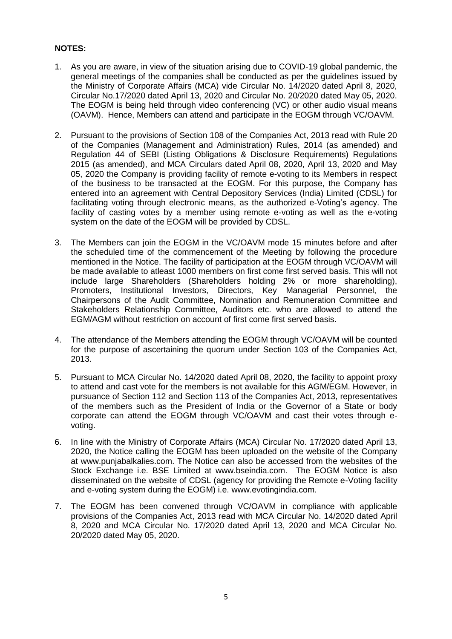# **NOTES:**

- 1. As you are aware, in view of the situation arising due to COVID-19 global pandemic, the general meetings of the companies shall be conducted as per the guidelines issued by the Ministry of Corporate Affairs (MCA) vide Circular No. 14/2020 dated April 8, 2020, Circular No.17/2020 dated April 13, 2020 and Circular No. 20/2020 dated May 05, 2020. The EOGM is being held through video conferencing (VC) or other audio visual means (OAVM). Hence, Members can attend and participate in the EOGM through VC/OAVM.
- 2. Pursuant to the provisions of Section 108 of the Companies Act, 2013 read with Rule 20 of the Companies (Management and Administration) Rules, 2014 (as amended) and Regulation 44 of SEBI (Listing Obligations & Disclosure Requirements) Regulations 2015 (as amended), and MCA Circulars dated April 08, 2020, April 13, 2020 and May 05, 2020 the Company is providing facility of remote e-voting to its Members in respect of the business to be transacted at the EOGM. For this purpose, the Company has entered into an agreement with Central Depository Services (India) Limited (CDSL) for facilitating voting through electronic means, as the authorized e-Voting's agency. The facility of casting votes by a member using remote e-voting as well as the e-voting system on the date of the EOGM will be provided by CDSL.
- 3. The Members can join the EOGM in the VC/OAVM mode 15 minutes before and after the scheduled time of the commencement of the Meeting by following the procedure mentioned in the Notice. The facility of participation at the EOGM through VC/OAVM will be made available to atleast 1000 members on first come first served basis. This will not include large Shareholders (Shareholders holding 2% or more shareholding), Promoters, Institutional Investors, Directors, Key Managerial Personnel, the Chairpersons of the Audit Committee, Nomination and Remuneration Committee and Stakeholders Relationship Committee, Auditors etc. who are allowed to attend the EGM/AGM without restriction on account of first come first served basis.
- 4. The attendance of the Members attending the EOGM through VC/OAVM will be counted for the purpose of ascertaining the quorum under Section 103 of the Companies Act, 2013.
- 5. Pursuant to MCA Circular No. 14/2020 dated April 08, 2020, the facility to appoint proxy to attend and cast vote for the members is not available for this AGM/EGM. However, in pursuance of Section 112 and Section 113 of the Companies Act, 2013, representatives of the members such as the President of India or the Governor of a State or body corporate can attend the EOGM through VC/OAVM and cast their votes through evoting.
- 6. In line with the Ministry of Corporate Affairs (MCA) Circular No. 17/2020 dated April 13, 2020, the Notice calling the EOGM has been uploaded on the website of the Company at www.punjabalkalies.com. The Notice can also be accessed from the websites of the Stock Exchange i.e. BSE Limited at www.bseindia.com. The EOGM Notice is also disseminated on the website of CDSL (agency for providing the Remote e-Voting facility and e-voting system during the EOGM) i.e. www.evotingindia.com.
- 7. The EOGM has been convened through VC/OAVM in compliance with applicable provisions of the Companies Act, 2013 read with MCA Circular No. 14/2020 dated April 8, 2020 and MCA Circular No. 17/2020 dated April 13, 2020 and MCA Circular No. 20/2020 dated May 05, 2020.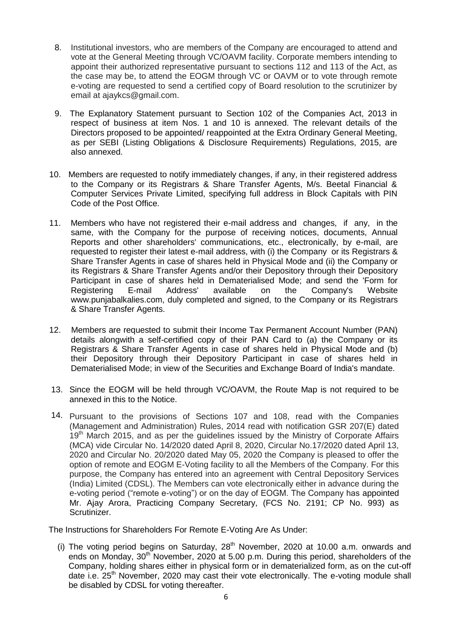- 8. Institutional investors, who are members of the Company are encouraged to attend and vote at the General Meeting through VC/OAVM facility. Corporate members intending to appoint their authorized representative pursuant to sections 112 and 113 of the Act, as the case may be, to attend the EOGM through VC or OAVM or to vote through remote e-voting are requested to send a certified copy of Board resolution to the scrutinizer by email at ajaykcs@gmail.com.
- 9. The Explanatory Statement pursuant to Section 102 of the Companies Act, 2013 in respect of business at item Nos. 1 and 10 is annexed. The relevant details of the Directors proposed to be appointed/ reappointed at the Extra Ordinary General Meeting, as per SEBI (Listing Obligations & Disclosure Requirements) Regulations, 2015, are also annexed.
- 10. Members are requested to notify immediately changes, if any, in their registered address to the Company or its Registrars & Share Transfer Agents, M/s. Beetal Financial & Computer Services Private Limited, specifying full address in Block Capitals with PIN Code of the Post Office.
- 11. Members who have not registered their e-mail address and changes, if any, in the same, with the Company for the purpose of receiving notices, documents, Annual Reports and other shareholders' communications, etc., electronically, by e-mail, are requested to register their latest e-mail address, with (i) the Company or its Registrars & Share Transfer Agents in case of shares held in Physical Mode and (ii) the Company or its Registrars & Share Transfer Agents and/or their Depository through their Depository Participant in case of shares held in Dematerialised Mode; and send the 'Form for Registering E-mail Address' available on the Company's Website www.punjabalkalies.com, duly completed and signed, to the Company or its Registrars & Share Transfer Agents.
- 12. Members are requested to submit their Income Tax Permanent Account Number (PAN) details alongwith a self-certified copy of their PAN Card to (a) the Company or its Registrars & Share Transfer Agents in case of shares held in Physical Mode and (b) their Depository through their Depository Participant in case of shares held in Dematerialised Mode; in view of the Securities and Exchange Board of India's mandate.
- 13. Since the EOGM will be held through VC/OAVM, the Route Map is not required to be annexed in this to the Notice.
- 14. Pursuant to the provisions of Sections 107 and 108, read with the Companies (Management and Administration) Rules, 2014 read with notification GSR 207(E) dated 19<sup>th</sup> March 2015, and as per the guidelines issued by the Ministry of Corporate Affairs (MCA) vide Circular No. 14/2020 dated April 8, 2020, Circular No.17/2020 dated April 13, 2020 and Circular No. 20/2020 dated May 05, 2020 the Company is pleased to offer the option of remote and EOGM E-Voting facility to all the Members of the Company. For this purpose, the Company has entered into an agreement with Central Depository Services (India) Limited (CDSL). The Members can vote electronically either in advance during the e-voting period ("remote e-voting") or on the day of EOGM. The Company has appointed Mr. Ajay Arora, Practicing Company Secretary, (FCS No. 2191; CP No. 993) as Scrutinizer.

The Instructions for Shareholders For Remote E-Voting Are As Under:

(i) The voting period begins on Saturday,  $28<sup>th</sup>$  November, 2020 at 10.00 a.m. onwards and ends on Monday, 30<sup>th</sup> November, 2020 at 5.00 p.m. During this period, shareholders of the Company, holding shares either in physical form or in dematerialized form, as on the cut-off date i.e.  $25<sup>th</sup>$  November, 2020 may cast their vote electronically. The e-voting module shall be disabled by CDSL for voting thereafter.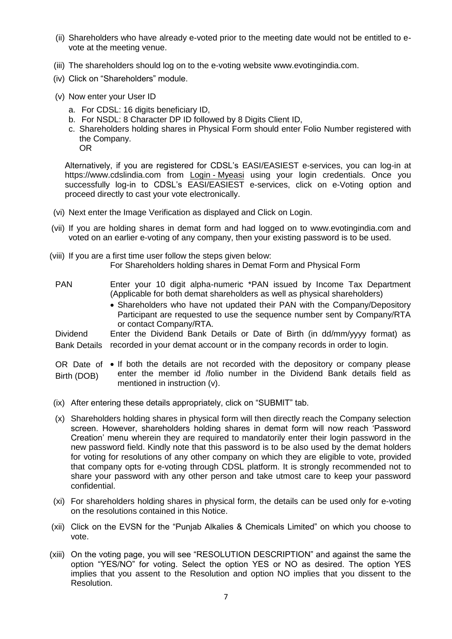- (ii) Shareholders who have already e-voted prior to the meeting date would not be entitled to evote at the meeting venue.
- (iii) The shareholders should log on to the e-voting website www.evotingindia.com.
- (iv) Click on "Shareholders" module.
- (v) Now enter your User ID
	- a. For CDSL: 16 digits beneficiary ID,
	- b. For NSDL: 8 Character DP ID followed by 8 Digits Client ID,
	- c. Shareholders holding shares in Physical Form should enter Folio Number registered with the Company.

OR

Alternatively, if you are registered for CDSL"s EASI/EASIEST e-services, you can log-in at https://www.cdslindia.com from Login - [Myeasi](file:///C:/Users/Sugandha/Desktop/EOGM/Login - Myeasi) using your login credentials. Once you successfully log-in to CDSL's EASI/EASIEST e-services, click on e-Voting option and proceed directly to cast your vote electronically.

- (vi) Next enter the Image Verification as displayed and Click on Login.
- (vii) If you are holding shares in demat form and had logged on to www.evotingindia.com and voted on an earlier e-voting of any company, then your existing password is to be used.
- (viii) If you are a first time user follow the steps given below: For Shareholders holding shares in Demat Form and Physical Form
- PAN Enter your 10 digit alpha-numeric \*PAN issued by Income Tax Department (Applicable for both demat shareholders as well as physical shareholders)
	- Shareholders who have not updated their PAN with the Company/Depository Participant are requested to use the sequence number sent by Company/RTA or contact Company/RTA.

Dividend Bank Details recorded in your demat account or in the company records in order to login. Enter the Dividend Bank Details or Date of Birth (in dd/mm/yyyy format) as

- OR Date of  $\bullet$  If both the details are not recorded with the depository or company please Birth (DOB) enter the member id /folio number in the Dividend Bank details field as mentioned in instruction (v).
- (ix) After entering these details appropriately, click on "SUBMIT" tab.
- (x) Shareholders holding shares in physical form will then directly reach the Company selection screen. However, shareholders holding shares in demat form will now reach "Password Creation" menu wherein they are required to mandatorily enter their login password in the new password field. Kindly note that this password is to be also used by the demat holders for voting for resolutions of any other company on which they are eligible to vote, provided that company opts for e-voting through CDSL platform. It is strongly recommended not to share your password with any other person and take utmost care to keep your password confidential.
- (xi) For shareholders holding shares in physical form, the details can be used only for e-voting on the resolutions contained in this Notice.
- (xii) Click on the EVSN for the "Punjab Alkalies & Chemicals Limited" on which you choose to vote.
- (xiii) On the voting page, you will see "RESOLUTION DESCRIPTION" and against the same the option "YES/NO" for voting. Select the option YES or NO as desired. The option YES implies that you assent to the Resolution and option NO implies that you dissent to the Resolution.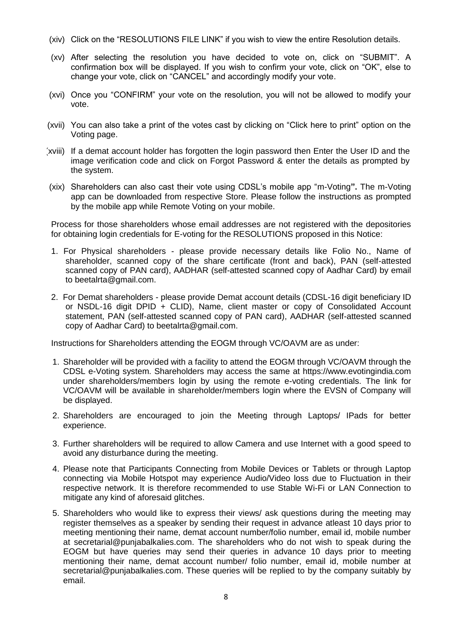- (xiv) Click on the "RESOLUTIONS FILE LINK" if you wish to view the entire Resolution details.
- (xv) After selecting the resolution you have decided to vote on, click on "SUBMIT". A confirmation box will be displayed. If you wish to confirm your vote, click on "OK", else to change your vote, click on "CANCEL" and accordingly modify your vote.
- (xvi) Once you "CONFIRM" your vote on the resolution, you will not be allowed to modify your vote.
- (xvii) You can also take a print of the votes cast by clicking on "Click here to print" option on the Voting page.
- (xviii) If a demat account holder has forgotten the login password then Enter the User ID and the image verification code and click on Forgot Password & enter the details as prompted by the system.
- (xix) Shareholders can also cast their vote using CDSL"s mobile app "m-Voting**".** The m-Voting app can be downloaded from respective Store. Please follow the instructions as prompted by the mobile app while Remote Voting on your mobile.

Process for those shareholders whose email addresses are not registered with the depositories for obtaining login credentials for E-voting for the RESOLUTIONS proposed in this Notice:

- 1. For Physical shareholders please provide necessary details like Folio No., Name of shareholder, scanned copy of the share certificate (front and back), PAN (self-attested scanned copy of PAN card), AADHAR (self-attested scanned copy of Aadhar Card) by email to beetalrta@gmail.com.
- 2. For Demat shareholders please provide Demat account details (CDSL-16 digit beneficiary ID or NSDL-16 digit DPID + CLID), Name, client master or copy of Consolidated Account statement, PAN (self-attested scanned copy of PAN card), AADHAR (self-attested scanned copy of Aadhar Card) to beetalrta@gmail.com.

Instructions for Shareholders attending the EOGM through VC/OAVM are as under:

- 1. Shareholder will be provided with a facility to attend the EOGM through VC/OAVM through the CDSL e-Voting system. Shareholders may access the same at https://www.evotingindia.com under shareholders/members login by using the remote e-voting credentials. The link for VC/OAVM will be available in shareholder/members login where the EVSN of Company will be displayed.
- 2. Shareholders are encouraged to join the Meeting through Laptops/ IPads for better experience.
- 3. Further shareholders will be required to allow Camera and use Internet with a good speed to avoid any disturbance during the meeting.
- 4. Please note that Participants Connecting from Mobile Devices or Tablets or through Laptop connecting via Mobile Hotspot may experience Audio/Video loss due to Fluctuation in their respective network. It is therefore recommended to use Stable Wi-Fi or LAN Connection to mitigate any kind of aforesaid glitches.
- 5. Shareholders who would like to express their views/ ask questions during the meeting may register themselves as a speaker by sending their request in advance atleast 10 days prior to meeting mentioning their name, demat account number/folio number, email id, mobile number at secretarial@punjabalkalies.com. The shareholders who do not wish to speak during the EOGM but have queries may send their queries in advance 10 days prior to meeting mentioning their name, demat account number/ folio number, email id, mobile number at secretarial@punjabalkalies.com. These queries will be replied to by the company suitably by email.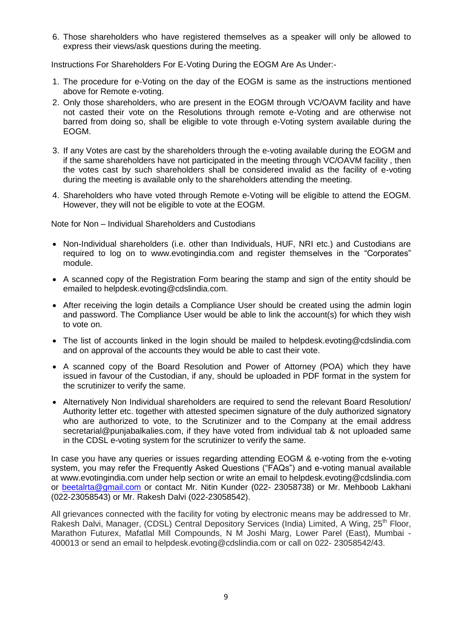6. Those shareholders who have registered themselves as a speaker will only be allowed to express their views/ask questions during the meeting.

Instructions For Shareholders For E-Voting During the EOGM Are As Under:-

- 1. The procedure for e-Voting on the day of the EOGM is same as the instructions mentioned above for Remote e-voting.
- 2. Only those shareholders, who are present in the EOGM through VC/OAVM facility and have not casted their vote on the Resolutions through remote e-Voting and are otherwise not barred from doing so, shall be eligible to vote through e-Voting system available during the EOGM.
- 3. If any Votes are cast by the shareholders through the e-voting available during the EOGM and if the same shareholders have not participated in the meeting through VC/OAVM facility , then the votes cast by such shareholders shall be considered invalid as the facility of e-voting during the meeting is available only to the shareholders attending the meeting.
- 4. Shareholders who have voted through Remote e-Voting will be eligible to attend the EOGM. However, they will not be eligible to vote at the EOGM.

Note for Non – Individual Shareholders and Custodians

- Non-Individual shareholders (i.e. other than Individuals, HUF, NRI etc.) and Custodians are required to log on to www.evotingindia.com and register themselves in the "Corporates" module.
- A scanned copy of the Registration Form bearing the stamp and sign of the entity should be emailed to helpdesk.evoting@cdslindia.com.
- After receiving the login details a Compliance User should be created using the admin login and password. The Compliance User would be able to link the account(s) for which they wish to vote on.
- The list of accounts linked in the login should be mailed to helpdesk.evoting@cdslindia.com and on approval of the accounts they would be able to cast their vote.
- A scanned copy of the Board Resolution and Power of Attorney (POA) which they have issued in favour of the Custodian, if any, should be uploaded in PDF format in the system for the scrutinizer to verify the same.
- Alternatively Non Individual shareholders are required to send the relevant Board Resolution/ Authority letter etc. together with attested specimen signature of the duly authorized signatory who are authorized to vote, to the Scrutinizer and to the Company at the email address secretarial@punjabalkalies.com, if they have voted from individual tab & not uploaded same in the CDSL e-voting system for the scrutinizer to verify the same.

In case you have any queries or issues regarding attending EOGM & e-voting from the e-voting system, you may refer the Frequently Asked Questions ("FAQs") and e-voting manual available at www.evotingindia.com under help section or write an email to helpdesk.evoting@cdslindia.com or [beetalrta@gmail.com](mailto:beetalrta@gmail.com) or contact Mr. Nitin Kunder (022- 23058738) or Mr. Mehboob Lakhani (022-23058543) or Mr. Rakesh Dalvi (022-23058542).

All grievances connected with the facility for voting by electronic means may be addressed to Mr. Rakesh Dalvi, Manager, (CDSL) Central Depository Services (India) Limited, A Wing, 25<sup>th</sup> Floor, Marathon Futurex, Mafatlal Mill Compounds, N M Joshi Marg, Lower Parel (East), Mumbai - 400013 or send an email to helpdesk.evoting@cdslindia.com or call on 022- 23058542/43.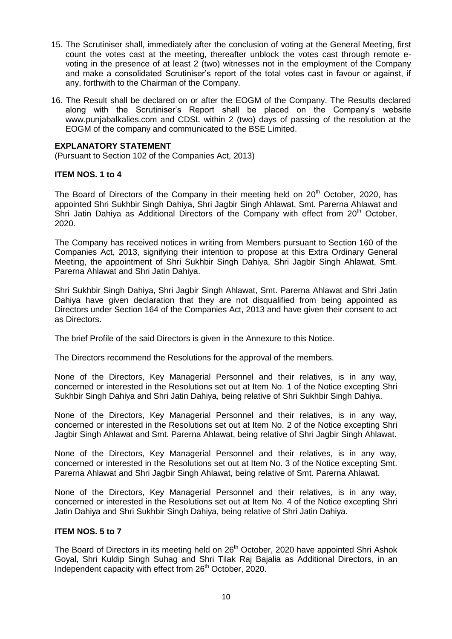- 15. The Scrutiniser shall, immediately after the conclusion of voting at the General Meeting, first count the votes cast at the meeting, thereafter unblock the votes cast through remote evoting in the presence of at least 2 (two) witnesses not in the employment of the Company and make a consolidated Scrutiniser"s report of the total votes cast in favour or against, if any, forthwith to the Chairman of the Company.
- 16. The Result shall be declared on or after the EOGM of the Company. The Results declared along with the Scrutiniser's Report shall be placed on the Company's website www.punjabalkalies.com and CDSL within 2 (two) days of passing of the resolution at the EOGM of the company and communicated to the BSE Limited.

#### **EXPLANATORY STATEMENT**

(Pursuant to Section 102 of the Companies Act, 2013)

#### **ITEM NOS. 1 to 4**

The Board of Directors of the Company in their meeting held on 20<sup>th</sup> October, 2020, has appointed Shri Sukhbir Singh Dahiya, Shri Jagbir Singh Ahlawat, Smt. Parerna Ahlawat and Shri Jatin Dahiya as Additional Directors of the Company with effect from 20<sup>th</sup> October, 2020.

The Company has received notices in writing from Members pursuant to Section 160 of the Companies Act, 2013, signifying their intention to propose at this Extra Ordinary General Meeting, the appointment of Shri Sukhbir Singh Dahiya, Shri Jagbir Singh Ahlawat, Smt. Parerna Ahlawat and Shri Jatin Dahiya.

Shri Sukhbir Singh Dahiya, Shri Jagbir Singh Ahlawat, Smt. Parerna Ahlawat and Shri Jatin Dahiya have given declaration that they are not disqualified from being appointed as Directors under Section 164 of the Companies Act, 2013 and have given their consent to act as Directors.

The brief Profile of the said Directors is given in the Annexure to this Notice.

The Directors recommend the Resolutions for the approval of the members.

None of the Directors, Key Managerial Personnel and their relatives, is in any way, concerned or interested in the Resolutions set out at Item No. 1 of the Notice excepting Shri Sukhbir Singh Dahiya and Shri Jatin Dahiya, being relative of Shri Sukhbir Singh Dahiya.

None of the Directors, Key Managerial Personnel and their relatives, is in any way, concerned or interested in the Resolutions set out at Item No. 2 of the Notice excepting Shri Jagbir Singh Ahlawat and Smt. Parerna Ahlawat, being relative of Shri Jagbir Singh Ahlawat.

None of the Directors, Key Managerial Personnel and their relatives, is in any way, concerned or interested in the Resolutions set out at Item No. 3 of the Notice excepting Smt. Parerna Ahlawat and Shri Jagbir Singh Ahlawat, being relative of Smt. Parerna Ahlawat.

None of the Directors, Key Managerial Personnel and their relatives, is in any way, concerned or interested in the Resolutions set out at Item No. 4 of the Notice excepting Shri Jatin Dahiya and Shri Sukhbir Singh Dahiya, being relative of Shri Jatin Dahiya.

#### **ITEM NOS. 5 to 7**

The Board of Directors in its meeting held on 26<sup>th</sup> October, 2020 have appointed Shri Ashok Goyal, Shri Kuldip Singh Suhag and Shri Tilak Raj Bajalia as Additional Directors, in an Independent capacity with effect from 26<sup>th</sup> October, 2020.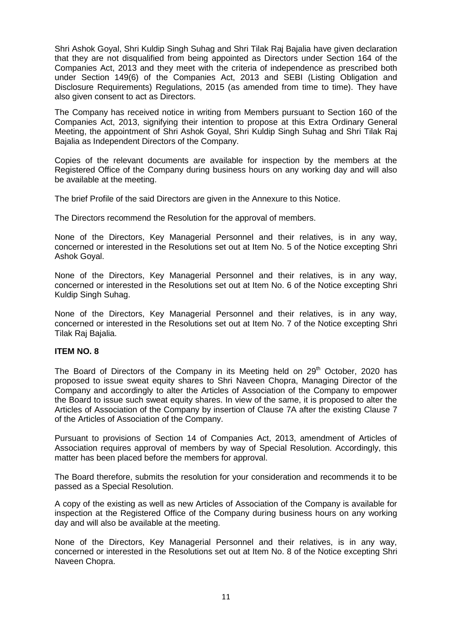Shri Ashok Goyal, Shri Kuldip Singh Suhag and Shri Tilak Raj Bajalia have given declaration that they are not disqualified from being appointed as Directors under Section 164 of the Companies Act, 2013 and they meet with the criteria of independence as prescribed both under Section 149(6) of the Companies Act, 2013 and SEBI (Listing Obligation and Disclosure Requirements) Regulations, 2015 (as amended from time to time). They have also given consent to act as Directors.

The Company has received notice in writing from Members pursuant to Section 160 of the Companies Act, 2013, signifying their intention to propose at this Extra Ordinary General Meeting, the appointment of Shri Ashok Goyal, Shri Kuldip Singh Suhag and Shri Tilak Raj Bajalia as Independent Directors of the Company.

Copies of the relevant documents are available for inspection by the members at the Registered Office of the Company during business hours on any working day and will also be available at the meeting.

The brief Profile of the said Directors are given in the Annexure to this Notice.

The Directors recommend the Resolution for the approval of members.

None of the Directors, Key Managerial Personnel and their relatives, is in any way, concerned or interested in the Resolutions set out at Item No. 5 of the Notice excepting Shri Ashok Goyal.

None of the Directors, Key Managerial Personnel and their relatives, is in any way, concerned or interested in the Resolutions set out at Item No. 6 of the Notice excepting Shri Kuldip Singh Suhag.

None of the Directors, Key Managerial Personnel and their relatives, is in any way, concerned or interested in the Resolutions set out at Item No. 7 of the Notice excepting Shri Tilak Raj Bajalia.

## **ITEM NO. 8**

The Board of Directors of the Company in its Meeting held on  $29<sup>th</sup>$  October, 2020 has proposed to issue sweat equity shares to Shri Naveen Chopra, Managing Director of the Company and accordingly to alter the Articles of Association of the Company to empower the Board to issue such sweat equity shares. In view of the same, it is proposed to alter the Articles of Association of the Company by insertion of Clause 7A after the existing Clause 7 of the Articles of Association of the Company.

Pursuant to provisions of Section 14 of Companies Act, 2013, amendment of Articles of Association requires approval of members by way of Special Resolution. Accordingly, this matter has been placed before the members for approval.

The Board therefore, submits the resolution for your consideration and recommends it to be passed as a Special Resolution.

A copy of the existing as well as new Articles of Association of the Company is available for inspection at the Registered Office of the Company during business hours on any working day and will also be available at the meeting.

None of the Directors, Key Managerial Personnel and their relatives, is in any way, concerned or interested in the Resolutions set out at Item No. 8 of the Notice excepting Shri Naveen Chopra.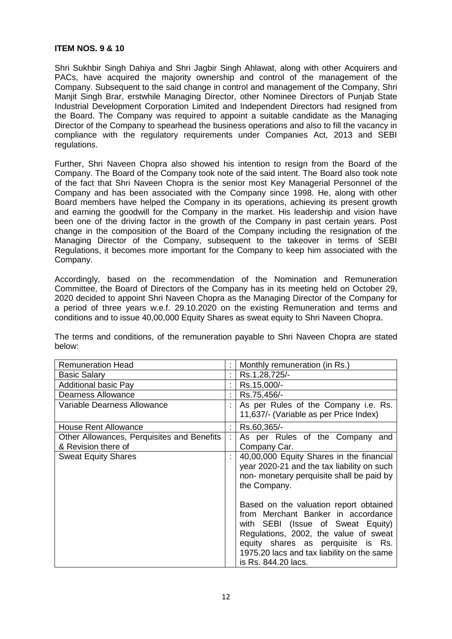#### **ITEM NOS. 9 & 10**

Shri Sukhbir Singh Dahiya and Shri Jagbir Singh Ahlawat, along with other Acquirers and PACs, have acquired the majority ownership and control of the management of the Company. Subsequent to the said change in control and management of the Company, Shri Manjit Singh Brar, erstwhile Managing Director, other Nominee Directors of Punjab State Industrial Development Corporation Limited and Independent Directors had resigned from the Board. The Company was required to appoint a suitable candidate as the Managing Director of the Company to spearhead the business operations and also to fill the vacancy in compliance with the regulatory requirements under Companies Act, 2013 and SEBI regulations.

Further, Shri Naveen Chopra also showed his intention to resign from the Board of the Company. The Board of the Company took note of the said intent. The Board also took note of the fact that Shri Naveen Chopra is the senior most Key Managerial Personnel of the Company and has been associated with the Company since 1998. He, along with other Board members have helped the Company in its operations, achieving its present growth and earning the goodwill for the Company in the market. His leadership and vision have been one of the driving factor in the growth of the Company in past certain years. Post change in the composition of the Board of the Company including the resignation of the Managing Director of the Company, subsequent to the takeover in terms of SEBI Regulations, it becomes more important for the Company to keep him associated with the Company.

Accordingly, based on the recommendation of the Nomination and Remuneration Committee, the Board of Directors of the Company has in its meeting held on October 29, 2020 decided to appoint Shri Naveen Chopra as the Managing Director of the Company for a period of three years w.e.f. 29.10.2020 on the existing Remuneration and terms and conditions and to issue 40,00,000 Equity Shares as sweat equity to Shri Naveen Chopra.

The terms and conditions, of the remuneration payable to Shri Naveen Chopra are stated below:

| <b>Remuneration Head</b>                                          |    | Monthly remuneration (in Rs.)                                                                                                                                                                                                                                         |
|-------------------------------------------------------------------|----|-----------------------------------------------------------------------------------------------------------------------------------------------------------------------------------------------------------------------------------------------------------------------|
| <b>Basic Salary</b>                                               | t, | Rs.1,28,725/-                                                                                                                                                                                                                                                         |
| <b>Additional basic Pay</b>                                       | t  | Rs.15,000/-                                                                                                                                                                                                                                                           |
| Dearness Allowance                                                | t  | Rs.75,456/-                                                                                                                                                                                                                                                           |
| Variable Dearness Allowance                                       | t  | As per Rules of the Company i.e. Rs.<br>11,637/- (Variable as per Price Index)                                                                                                                                                                                        |
| <b>House Rent Allowance</b>                                       | ÷  | Rs.60,365/-                                                                                                                                                                                                                                                           |
| Other Allowances, Perquisites and Benefits<br>& Revision there of | t. | As per Rules of the Company and<br>Company Car.                                                                                                                                                                                                                       |
| <b>Sweat Equity Shares</b>                                        | t  | 40,00,000 Equity Shares in the financial<br>year 2020-21 and the tax liability on such<br>non- monetary perquisite shall be paid by<br>the Company.                                                                                                                   |
|                                                                   |    | Based on the valuation report obtained<br>from Merchant Banker in accordance<br>with SEBI (Issue of Sweat Equity)<br>Regulations, 2002, the value of sweat<br>equity shares as perquisite is Rs.<br>1975.20 lacs and tax liability on the same<br>is Rs. 844.20 lacs. |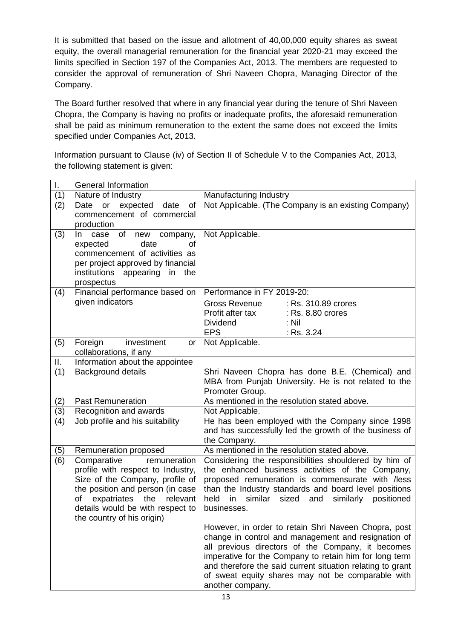It is submitted that based on the issue and allotment of 40,00,000 equity shares as sweat equity, the overall managerial remuneration for the financial year 2020-21 may exceed the limits specified in Section 197 of the Companies Act, 2013. The members are requested to consider the approval of remuneration of Shri Naveen Chopra, Managing Director of the Company.

The Board further resolved that where in any financial year during the tenure of Shri Naveen Chopra, the Company is having no profits or inadequate profits, the aforesaid remuneration shall be paid as minimum remuneration to the extent the same does not exceed the limits specified under Companies Act, 2013.

Information pursuant to Clause (iv) of Section II of Schedule V to the Companies Act, 2013, the following statement is given:

|     | <b>General Information</b>                                     |                                                                                                                 |  |  |
|-----|----------------------------------------------------------------|-----------------------------------------------------------------------------------------------------------------|--|--|
| (1) | Nature of Industry                                             | Manufacturing Industry                                                                                          |  |  |
| (2) | of<br>expected<br>date<br>Date<br>or                           | Not Applicable. (The Company is an existing Company)                                                            |  |  |
|     | commencement of commercial                                     |                                                                                                                 |  |  |
|     | production                                                     |                                                                                                                 |  |  |
| (3) | case of<br>new company,<br>$\ln$                               | Not Applicable.                                                                                                 |  |  |
|     | date<br>expected<br>οf                                         |                                                                                                                 |  |  |
|     | commencement of activities as                                  |                                                                                                                 |  |  |
|     | per project approved by financial                              |                                                                                                                 |  |  |
|     | institutions appearing in<br>the                               |                                                                                                                 |  |  |
|     | prospectus                                                     |                                                                                                                 |  |  |
| (4) | Financial performance based on                                 | Performance in FY 2019-20:                                                                                      |  |  |
|     | given indicators                                               | Gross Revenue<br>: Rs. 310.89 crores                                                                            |  |  |
|     |                                                                | Profit after tax<br>: Rs. 8.80 crores                                                                           |  |  |
|     |                                                                | Dividend<br>: Nil                                                                                               |  |  |
|     |                                                                | <b>EPS</b><br>: Rs. 3.24                                                                                        |  |  |
| (5) | Foreign<br>investment<br><b>or</b>                             | Not Applicable.                                                                                                 |  |  |
|     | collaborations, if any                                         |                                                                                                                 |  |  |
| Ш.  | Information about the appointee                                |                                                                                                                 |  |  |
| (1) | Background details                                             | Shri Naveen Chopra has done B.E. (Chemical) and                                                                 |  |  |
|     |                                                                | MBA from Punjab University. He is not related to the                                                            |  |  |
|     |                                                                | Promoter Group.                                                                                                 |  |  |
| (2) | <b>Past Remuneration</b>                                       | As mentioned in the resolution stated above.                                                                    |  |  |
| (3) | Recognition and awards                                         | Not Applicable.                                                                                                 |  |  |
| (4) | Job profile and his suitability                                | He has been employed with the Company since 1998                                                                |  |  |
|     |                                                                | and has successfully led the growth of the business of                                                          |  |  |
|     |                                                                | the Company.                                                                                                    |  |  |
| (5) | Remuneration proposed                                          | As mentioned in the resolution stated above.                                                                    |  |  |
| (6) | Comparative<br>remuneration                                    | Considering the responsibilities shouldered by him of                                                           |  |  |
|     | profile with respect to Industry,                              | the enhanced business activities of the Company,                                                                |  |  |
|     | Size of the Company, profile of                                | proposed remuneration is commensurate with /less                                                                |  |  |
|     | the position and person (in case                               | than the Industry standards and board level positions                                                           |  |  |
|     | expatriates the<br>of<br>relevant                              | held<br>in<br>similar sized<br>and<br>similarly<br>positioned                                                   |  |  |
|     | details would be with respect to<br>the country of his origin) | businesses.                                                                                                     |  |  |
|     |                                                                | However, in order to retain Shri Naveen Chopra, post                                                            |  |  |
|     |                                                                | change in control and management and resignation of                                                             |  |  |
|     |                                                                | all previous directors of the Company, it becomes                                                               |  |  |
|     |                                                                |                                                                                                                 |  |  |
|     |                                                                |                                                                                                                 |  |  |
|     |                                                                | imperative for the Company to retain him for long term                                                          |  |  |
|     |                                                                | and therefore the said current situation relating to grant<br>of sweat equity shares may not be comparable with |  |  |
|     |                                                                |                                                                                                                 |  |  |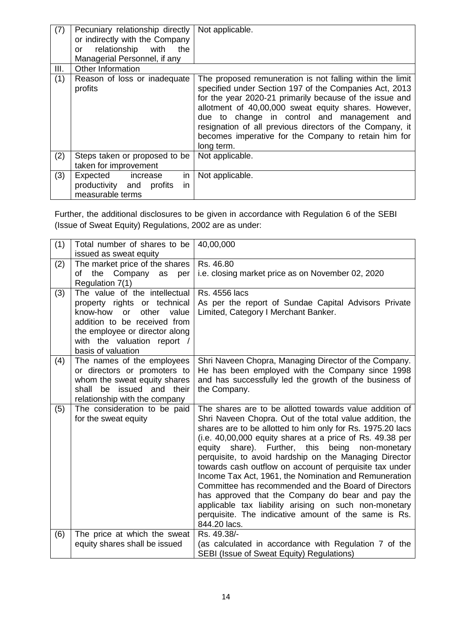| (7)  | Pecuniary relationship directly<br>or indirectly with the Company<br>relationship with<br>the<br>or<br>Managerial Personnel, if any | Not applicable.                                                                                                                                                                                                                                                                                                                                                                                                         |
|------|-------------------------------------------------------------------------------------------------------------------------------------|-------------------------------------------------------------------------------------------------------------------------------------------------------------------------------------------------------------------------------------------------------------------------------------------------------------------------------------------------------------------------------------------------------------------------|
| III. | Other Information                                                                                                                   |                                                                                                                                                                                                                                                                                                                                                                                                                         |
| (1)  | Reason of loss or inadequate<br>profits                                                                                             | The proposed remuneration is not falling within the limit<br>specified under Section 197 of the Companies Act, 2013<br>for the year 2020-21 primarily because of the issue and<br>allotment of 40,00,000 sweat equity shares. However,<br>due to change in control and management and<br>resignation of all previous directors of the Company, it<br>becomes imperative for the Company to retain him for<br>long term. |
| (2)  | Steps taken or proposed to be<br>taken for improvement                                                                              | Not applicable.                                                                                                                                                                                                                                                                                                                                                                                                         |
| (3)  | Expected increase<br>in<br>productivity and profits<br>in.<br>measurable terms                                                      | Not applicable.                                                                                                                                                                                                                                                                                                                                                                                                         |

Further, the additional disclosures to be given in accordance with Regulation 6 of the SEBI (Issue of Sweat Equity) Regulations, 2002 are as under:

| (1) | Total number of shares to be<br>issued as sweat equity                                                                                                                                                                          | 40,00,000                                                                                                                                                                                                                                                                                                                                                                                                                                                                                                                                                                                                                                                                                                                        |
|-----|---------------------------------------------------------------------------------------------------------------------------------------------------------------------------------------------------------------------------------|----------------------------------------------------------------------------------------------------------------------------------------------------------------------------------------------------------------------------------------------------------------------------------------------------------------------------------------------------------------------------------------------------------------------------------------------------------------------------------------------------------------------------------------------------------------------------------------------------------------------------------------------------------------------------------------------------------------------------------|
| (2) | The market price of the shares<br>the<br>Company as<br>of<br>per<br>Regulation 7(1)                                                                                                                                             | Rs. 46.80<br>i.e. closing market price as on November 02, 2020                                                                                                                                                                                                                                                                                                                                                                                                                                                                                                                                                                                                                                                                   |
| (3) | The value of the intellectual<br>property rights or technical<br>know-how<br><b>or</b><br>other<br>value<br>addition to be received from<br>the employee or director along<br>with the valuation report /<br>basis of valuation | <b>Rs. 4556 lacs</b><br>As per the report of Sundae Capital Advisors Private<br>Limited, Category I Merchant Banker.                                                                                                                                                                                                                                                                                                                                                                                                                                                                                                                                                                                                             |
| (4) | The names of the employees<br>or directors or promoters to<br>whom the sweat equity shares<br>be issued and their<br>shall<br>relationship with the company                                                                     | Shri Naveen Chopra, Managing Director of the Company.<br>He has been employed with the Company since 1998<br>and has successfully led the growth of the business of<br>the Company.                                                                                                                                                                                                                                                                                                                                                                                                                                                                                                                                              |
| (5) | The consideration to be paid<br>for the sweat equity                                                                                                                                                                            | The shares are to be allotted towards value addition of<br>Shri Naveen Chopra. Out of the total value addition, the<br>shares are to be allotted to him only for Rs. 1975.20 lacs<br>(i.e. 40,00,000 equity shares at a price of Rs. 49.38 per<br>equity share). Further, this being<br>non-monetary<br>perquisite, to avoid hardship on the Managing Director<br>towards cash outflow on account of perquisite tax under<br>Income Tax Act, 1961, the Nomination and Remuneration<br>Committee has recommended and the Board of Directors<br>has approved that the Company do bear and pay the<br>applicable tax liability arising on such non-monetary<br>perquisite. The indicative amount of the same is Rs.<br>844.20 lacs. |
| (6) | The price at which the sweat<br>equity shares shall be issued                                                                                                                                                                   | Rs. 49.38/-<br>(as calculated in accordance with Regulation 7 of the<br>SEBI (Issue of Sweat Equity) Regulations)                                                                                                                                                                                                                                                                                                                                                                                                                                                                                                                                                                                                                |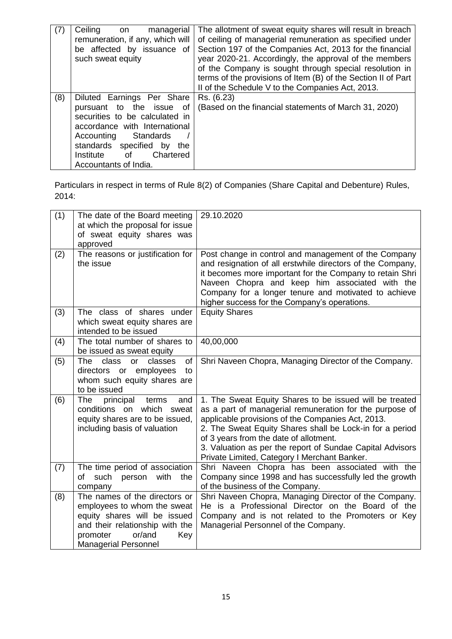| (7) | Ceiling<br>managerial<br>on<br>remuneration, if any, which will<br>be affected by issuance of<br>such sweat equity                                                                                                                          | The allotment of sweat equity shares will result in breach<br>of ceiling of managerial remuneration as specified under<br>Section 197 of the Companies Act, 2013 for the financial<br>year 2020-21. Accordingly, the approval of the members<br>of the Company is sought through special resolution in<br>terms of the provisions of Item (B) of the Section II of Part<br>II of the Schedule V to the Companies Act, 2013. |
|-----|---------------------------------------------------------------------------------------------------------------------------------------------------------------------------------------------------------------------------------------------|-----------------------------------------------------------------------------------------------------------------------------------------------------------------------------------------------------------------------------------------------------------------------------------------------------------------------------------------------------------------------------------------------------------------------------|
| (8) | Diluted Earnings Per Share<br>pursuant to the issue of<br>securities to be calculated in<br>accordance with International<br>Accounting Standards<br>standards specified<br>by the<br>of<br>Institute<br>Chartered<br>Accountants of India. | Rs. (6.23)<br>(Based on the financial statements of March 31, 2020)                                                                                                                                                                                                                                                                                                                                                         |

Particulars in respect in terms of Rule 8(2) of Companies (Share Capital and Debenture) Rules, 2014:

| (1) | The date of the Board meeting<br>at which the proposal for issue<br>of sweat equity shares was                                                                                              | 29.10.2020                                                                                                                                                                                                                                                                                                                                                                                 |
|-----|---------------------------------------------------------------------------------------------------------------------------------------------------------------------------------------------|--------------------------------------------------------------------------------------------------------------------------------------------------------------------------------------------------------------------------------------------------------------------------------------------------------------------------------------------------------------------------------------------|
| (2) | approved<br>The reasons or justification for<br>the issue                                                                                                                                   | Post change in control and management of the Company<br>and resignation of all erstwhile directors of the Company,<br>it becomes more important for the Company to retain Shri<br>Naveen Chopra and keep him associated with the<br>Company for a longer tenure and motivated to achieve<br>higher success for the Company's operations.                                                   |
| (3) | The class of shares under<br>which sweat equity shares are<br>intended to be issued                                                                                                         | <b>Equity Shares</b>                                                                                                                                                                                                                                                                                                                                                                       |
| (4) | The total number of shares to<br>be issued as sweat equity                                                                                                                                  | 40,00,000                                                                                                                                                                                                                                                                                                                                                                                  |
| (5) | class<br>classes<br>The<br><b>or</b><br>of<br>directors or employees<br>to<br>whom such equity shares are<br>to be issued                                                                   | Shri Naveen Chopra, Managing Director of the Company.                                                                                                                                                                                                                                                                                                                                      |
| (6) | principal<br>The<br>terms<br>and<br>conditions on which sweat<br>equity shares are to be issued,<br>including basis of valuation                                                            | 1. The Sweat Equity Shares to be issued will be treated<br>as a part of managerial remuneration for the purpose of<br>applicable provisions of the Companies Act, 2013.<br>2. The Sweat Equity Shares shall be Lock-in for a period<br>of 3 years from the date of allotment.<br>3. Valuation as per the report of Sundae Capital Advisors<br>Private Limited, Category I Merchant Banker. |
| (7) | The time period of association<br>of such<br>with<br>person<br>the<br>company                                                                                                               | Shri Naveen Chopra has been associated with the<br>Company since 1998 and has successfully led the growth<br>of the business of the Company.                                                                                                                                                                                                                                               |
| (8) | The names of the directors or<br>employees to whom the sweat<br>equity shares will be issued<br>and their relationship with the<br>or/and<br>promoter<br>Key<br><b>Managerial Personnel</b> | Shri Naveen Chopra, Managing Director of the Company.<br>He is a Professional Director on the Board of the<br>Company and is not related to the Promoters or Key<br>Managerial Personnel of the Company.                                                                                                                                                                                   |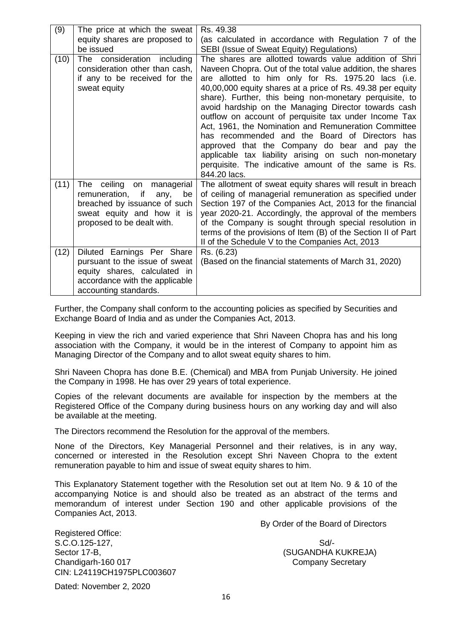| (9)  | The price at which the sweat                                                                                                                                     | Rs. 49.38                                                                                                                                                                                                                                                                                                                                                                                                                                                                                                                                                                                                                                                                                                         |
|------|------------------------------------------------------------------------------------------------------------------------------------------------------------------|-------------------------------------------------------------------------------------------------------------------------------------------------------------------------------------------------------------------------------------------------------------------------------------------------------------------------------------------------------------------------------------------------------------------------------------------------------------------------------------------------------------------------------------------------------------------------------------------------------------------------------------------------------------------------------------------------------------------|
|      | equity shares are proposed to                                                                                                                                    | (as calculated in accordance with Regulation 7 of the                                                                                                                                                                                                                                                                                                                                                                                                                                                                                                                                                                                                                                                             |
|      | be issued                                                                                                                                                        | SEBI (Issue of Sweat Equity) Regulations)                                                                                                                                                                                                                                                                                                                                                                                                                                                                                                                                                                                                                                                                         |
| (10) | The consideration including<br>consideration other than cash,<br>if any to be received for the<br>sweat equity                                                   | The shares are allotted towards value addition of Shri<br>Naveen Chopra. Out of the total value addition, the shares<br>are allotted to him only for Rs. 1975.20 lacs (i.e.<br>40,00,000 equity shares at a price of Rs. 49.38 per equity<br>share). Further, this being non-monetary perquisite, to<br>avoid hardship on the Managing Director towards cash<br>outflow on account of perquisite tax under Income Tax<br>Act, 1961, the Nomination and Remuneration Committee<br>has recommended and the Board of Directors has<br>approved that the Company do bear and pay the<br>applicable tax liability arising on such non-monetary<br>perquisite. The indicative amount of the same is Rs.<br>844.20 lacs. |
| (11) | The<br>ceiling<br>managerial<br>on<br>remuneration, if<br>be<br>any,<br>breached by issuance of such<br>sweat equity and how it is<br>proposed to be dealt with. | The allotment of sweat equity shares will result in breach<br>of ceiling of managerial remuneration as specified under<br>Section 197 of the Companies Act, 2013 for the financial<br>year 2020-21. Accordingly, the approval of the members<br>of the Company is sought through special resolution in<br>terms of the provisions of Item (B) of the Section II of Part<br>II of the Schedule V to the Companies Act, 2013                                                                                                                                                                                                                                                                                        |
| (12) | Diluted Earnings Per Share<br>pursuant to the issue of sweat<br>equity shares, calculated in<br>accordance with the applicable<br>accounting standards.          | Rs. (6.23)<br>(Based on the financial statements of March 31, 2020)                                                                                                                                                                                                                                                                                                                                                                                                                                                                                                                                                                                                                                               |

Further, the Company shall conform to the accounting policies as specified by Securities and Exchange Board of India and as under the Companies Act, 2013.

Keeping in view the rich and varied experience that Shri Naveen Chopra has and his long association with the Company, it would be in the interest of Company to appoint him as Managing Director of the Company and to allot sweat equity shares to him.

Shri Naveen Chopra has done B.E. (Chemical) and MBA from Punjab University. He joined the Company in 1998. He has over 29 years of total experience.

Copies of the relevant documents are available for inspection by the members at the Registered Office of the Company during business hours on any working day and will also be available at the meeting.

The Directors recommend the Resolution for the approval of the members.

None of the Directors, Key Managerial Personnel and their relatives, is in any way, concerned or interested in the Resolution except Shri Naveen Chopra to the extent remuneration payable to him and issue of sweat equity shares to him.

This Explanatory Statement together with the Resolution set out at Item No. 9 & 10 of the accompanying Notice is and should also be treated as an abstract of the terms and memorandum of interest under Section 190 and other applicable provisions of the Companies Act, 2013.

By Order of the Board of Directors

Registered Office: S.C.O.125-127, Solution of the state of the Solution of the Solution of the Solution of Solution of the Solution of Solution of the Solution of the Solution of the Solution of the Solution of the Solution of the Solution o Sector 17-B, Sector 17-B, Sector 17-B, Sector 17-B, Sector 17-B, Sector 17-B, Sector 17-B, Sector 17-B, Sector 17-B, Sector 17-B, Sector 17-B, Sector 17-B, Sector 17-B, Sector 17-B, Sector 17-B, Sector 17-B, Sector 17-B, S Chandigarh-160 017 Chandigarh-160 017 CIN: L24119CH1975PLC003607

Dated: November 2, 2020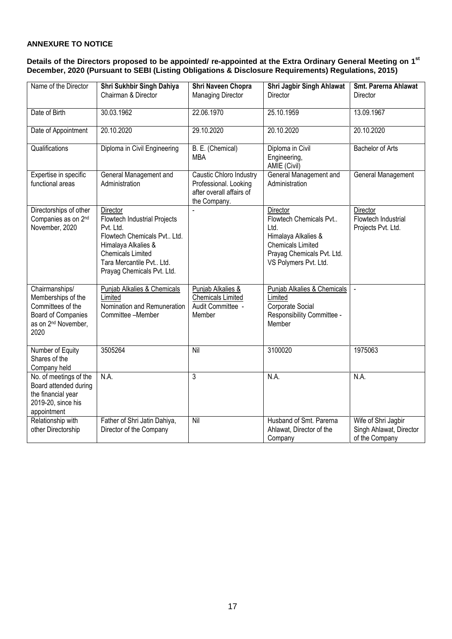### **ANNEXURE TO NOTICE**

#### **Details of the Directors proposed to be appointed/ re-appointed at the Extra Ordinary General Meeting on 1 st December, 2020 (Pursuant to SEBI (Listing Obligations & Disclosure Requirements) Regulations, 2015)**

| Name of the Director                                                                                                       | Shri Sukhbir Singh Dahiya<br>Chairman & Director                                                                                                                                                  | Shri Naveen Chopra<br><b>Managing Director</b>                                               | Shri Jagbir Singh Ahlawat<br>Director                                                                                                                | Smt. Parerna Ahlawat<br>Director                                 |
|----------------------------------------------------------------------------------------------------------------------------|---------------------------------------------------------------------------------------------------------------------------------------------------------------------------------------------------|----------------------------------------------------------------------------------------------|------------------------------------------------------------------------------------------------------------------------------------------------------|------------------------------------------------------------------|
| Date of Birth                                                                                                              | 30.03.1962                                                                                                                                                                                        | 22.06.1970                                                                                   | 25.10.1959                                                                                                                                           | 13.09.1967                                                       |
| Date of Appointment                                                                                                        | 20.10.2020                                                                                                                                                                                        | 29.10.2020                                                                                   | 20.10.2020                                                                                                                                           | 20.10.2020                                                       |
| Qualifications                                                                                                             | Diploma in Civil Engineering                                                                                                                                                                      | B. E. (Chemical)<br><b>MBA</b>                                                               | Diploma in Civil<br>Engineering,<br>AMIE (Civil)                                                                                                     | <b>Bachelor of Arts</b>                                          |
| Expertise in specific<br>functional areas                                                                                  | General Management and<br>Administration                                                                                                                                                          | Caustic Chloro Industry<br>Professional. Looking<br>after overall affairs of<br>the Company. | General Management and<br>Administration                                                                                                             | General Management                                               |
| Directorships of other<br>Companies as on 2nd<br>November, 2020                                                            | Director<br>Flowtech Industrial Projects<br>Pvt. Ltd.<br>Flowtech Chemicals Pvt Ltd.<br>Himalaya Alkalies &<br><b>Chemicals Limited</b><br>Tara Mercantile Pvt Ltd.<br>Prayag Chemicals Pvt. Ltd. |                                                                                              | Director<br>Flowtech Chemicals Pvt<br>Ltd.<br>Himalaya Alkalies &<br><b>Chemicals Limited</b><br>Prayag Chemicals Pvt. Ltd.<br>VS Polymers Pvt. Ltd. | Director<br>Flowtech Industrial<br>Projects Pvt. Ltd.            |
| Chairmanships/<br>Memberships of the<br>Committees of the<br>Board of Companies<br>as on 2 <sup>nd</sup> November,<br>2020 | Punjab Alkalies & Chemicals<br>Limited<br>Nomination and Remuneration<br>Committee -Member                                                                                                        | Punjab Alkalies &<br><b>Chemicals Limited</b><br>Audit Committee -<br>Member                 | Punjab Alkalies & Chemicals<br>Limited<br>Corporate Social<br>Responsibility Committee -<br>Member                                                   | $\sim$                                                           |
| Number of Equity<br>Shares of the<br>Company held                                                                          | 3505264                                                                                                                                                                                           | $\overline{\text{Nil}}$                                                                      | 3100020                                                                                                                                              | 1975063                                                          |
| No. of meetings of the<br>Board attended during<br>the financial year<br>2019-20, since his<br>appointment                 | N.A.                                                                                                                                                                                              | 3                                                                                            | N.A.                                                                                                                                                 | N.A.                                                             |
| Relationship with<br>other Directorship                                                                                    | Father of Shri Jatin Dahiya,<br>Director of the Company                                                                                                                                           | Nil                                                                                          | Husband of Smt. Parerna<br>Ahlawat, Director of the<br>Company                                                                                       | Wife of Shri Jagbir<br>Singh Ahlawat, Director<br>of the Company |